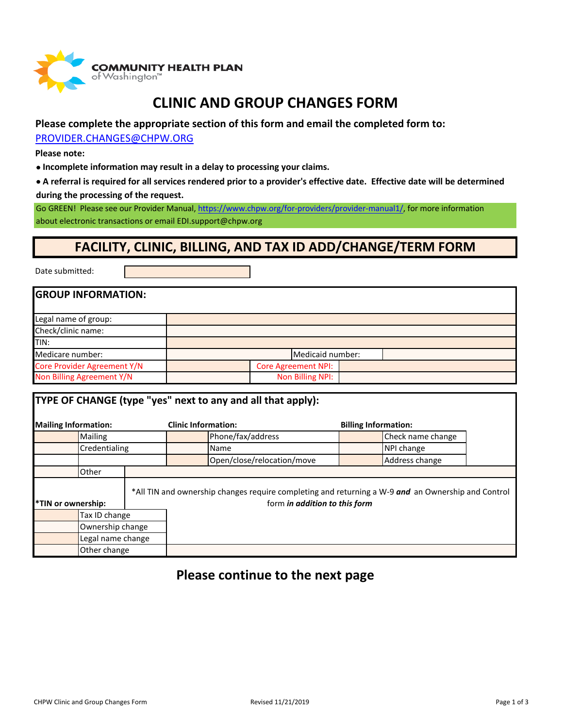

### **CLINIC AND GROUP CHANGES FORM**

#### **Please complete the appropriate section of this form and email the completed form to:**

[PROVIDER](mailto:PROVIDER.CHANGES@CHPW.ORG).CHANGES@CHPW.ORG

**Please note:**

• **Incomplete information may result in a delay to processing your claims.**

• **A referral is required for all services rendered prior to a provider's effective date. Effective date will be determined during the processing of the request.**

Go GREEN! Please see our Provider Manual, https://www.[chpw.org/for-providers/](https://www.chpw.org/for-providers/provider-manual1/)provider-manual1/, for more information

about electronic transactions or email EDI.support@chpw.org

### **FACILITY, CLINIC, BILLING, AND TAX ID ADD/CHANGE/TERM FORM**

Date submitted:

| <b>GROUP INFORMATION:</b>   |                            |  |
|-----------------------------|----------------------------|--|
| Legal name of group:        |                            |  |
| Check/clinic name:          |                            |  |
| ITIN:                       |                            |  |
| Medicare number:            | Medicaid number:           |  |
| Core Provider Agreement Y/N | <b>Core Agreement NPI:</b> |  |
| Non Billing Agreement Y/N   | Non Billing NPI:           |  |

| <b>TYPE OF CHANGE (type "yes" next to any and all that apply):</b> |                  |                            |                                                                                                                                     |  |
|--------------------------------------------------------------------|------------------|----------------------------|-------------------------------------------------------------------------------------------------------------------------------------|--|
| <b>Mailing Information:</b>                                        |                  | <b>Clinic Information:</b> | <b>Billing Information:</b>                                                                                                         |  |
| Mailing                                                            |                  | Phone/fax/address          | Check name change                                                                                                                   |  |
| Credentialing                                                      |                  | Name                       | NPI change                                                                                                                          |  |
|                                                                    |                  | Open/close/relocation/move | Address change                                                                                                                      |  |
| Other                                                              |                  |                            |                                                                                                                                     |  |
| *TIN or ownership:                                                 |                  |                            | *All TIN and ownership changes require completing and returning a W-9 and an Ownership and Control<br>form in addition to this form |  |
| Tax ID change                                                      |                  |                            |                                                                                                                                     |  |
|                                                                    | Ownership change |                            |                                                                                                                                     |  |
| Legal name change                                                  |                  |                            |                                                                                                                                     |  |
|                                                                    | Other change     |                            |                                                                                                                                     |  |

### **Please continue to the next page**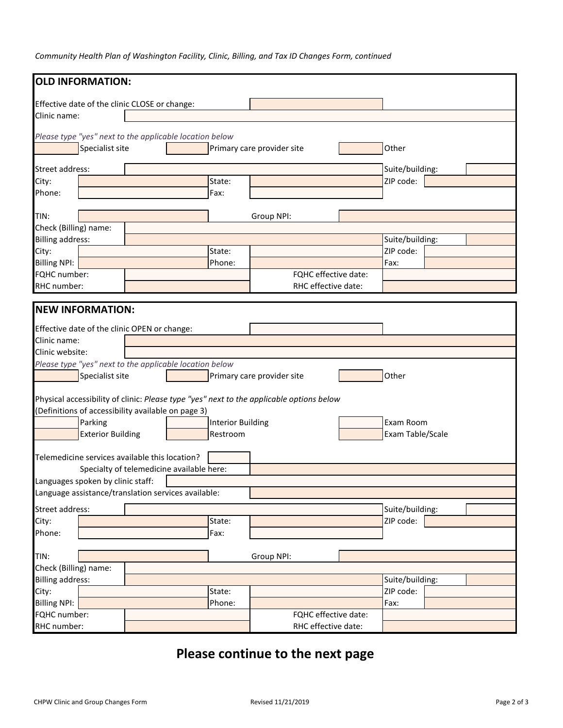*Community Health Plan of Washington Facility, Clinic, Billing, and Tax ID Changes Form, continued*

| <b>OLD INFORMATION:</b>                                                                  |                                           |                          |                            |                  |
|------------------------------------------------------------------------------------------|-------------------------------------------|--------------------------|----------------------------|------------------|
| Effective date of the clinic CLOSE or change:                                            |                                           |                          |                            |                  |
| Clinic name:                                                                             |                                           |                          |                            |                  |
| Please type "yes" next to the applicable location below                                  |                                           |                          |                            |                  |
| Specialist site                                                                          |                                           |                          | Primary care provider site | Other            |
| Street address:                                                                          |                                           |                          |                            | Suite/building:  |
| City:                                                                                    |                                           | State:                   |                            | ZIP code:        |
| Phone:                                                                                   |                                           | Fax:                     |                            |                  |
| TIN:                                                                                     |                                           |                          | Group NPI:                 |                  |
| Check (Billing) name:                                                                    |                                           |                          |                            |                  |
| <b>Billing address:</b>                                                                  |                                           |                          |                            | Suite/building:  |
| City:                                                                                    |                                           | State:                   |                            | ZIP code:        |
| <b>Billing NPI:</b>                                                                      |                                           | Phone:                   |                            | Fax:             |
| FQHC number:                                                                             |                                           |                          | FQHC effective date:       |                  |
| RHC number:                                                                              |                                           |                          | RHC effective date:        |                  |
| <b>NEW INFORMATION:</b>                                                                  |                                           |                          |                            |                  |
| Effective date of the clinic OPEN or change:                                             |                                           |                          |                            |                  |
| Clinic name:                                                                             |                                           |                          |                            |                  |
| Clinic website:                                                                          |                                           |                          |                            |                  |
| Please type "yes" next to the applicable location below                                  |                                           |                          |                            |                  |
| Specialist site                                                                          |                                           |                          | Primary care provider site | Other            |
|                                                                                          |                                           |                          |                            |                  |
| Physical accessibility of clinic: Please type "yes" next to the applicable options below |                                           |                          |                            |                  |
| (Definitions of accessibility available on page 3)                                       |                                           |                          |                            |                  |
| Parking                                                                                  |                                           | <b>Interior Building</b> |                            | Exam Room        |
| <b>Exterior Building</b>                                                                 |                                           | Restroom                 |                            | Exam Table/Scale |
| Telemedicine services available this location?                                           |                                           |                          |                            |                  |
|                                                                                          | Specialty of telemedicine available here: |                          |                            |                  |
| Languages spoken by clinic staff:                                                        |                                           |                          |                            |                  |
| Language assistance/translation services available:                                      |                                           |                          |                            |                  |
| Street address:                                                                          |                                           |                          |                            | Suite/building:  |
| City:                                                                                    |                                           | State:                   |                            | ZIP code:        |
| Phone:                                                                                   |                                           | Fax:                     |                            |                  |
| TIN:                                                                                     |                                           |                          | Group NPI:                 |                  |
| Check (Billing) name:                                                                    |                                           |                          |                            |                  |
| <b>Billing address:</b>                                                                  |                                           |                          |                            | Suite/building:  |
| City:                                                                                    |                                           | State:                   |                            | ZIP code:        |
| <b>Billing NPI:</b>                                                                      |                                           | Phone:                   |                            | Fax:             |
| FQHC number:                                                                             |                                           |                          | FQHC effective date:       |                  |
| RHC number:                                                                              |                                           |                          | RHC effective date:        |                  |

## **Please continue to the next page**